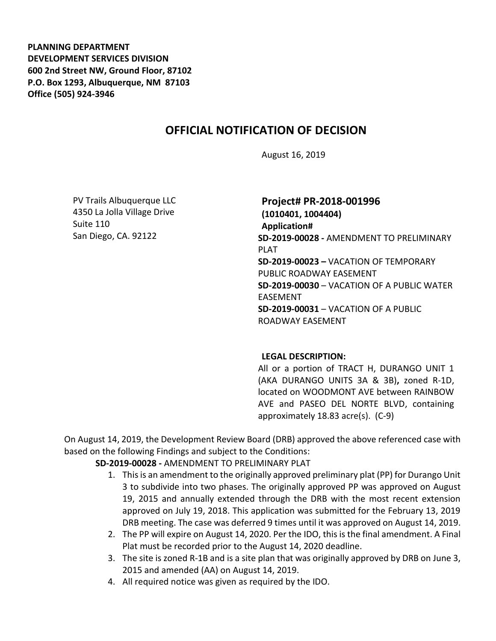**PLANNING DEPARTMENT DEVELOPMENT SERVICES DIVISION 600 2nd Street NW, Ground Floor, 87102 P.O. Box 1293, Albuquerque, NM 87103 Office (505) 924-3946** 

## **OFFICIAL NOTIFICATION OF DECISION**

August 16, 2019

PV Trails Albuquerque LLC 4350 La Jolla Village Drive Suite 110 San Diego, CA. 92122

**Project# PR-2018-001996 (1010401, 1004404) Application# SD-2019-00028 -** AMENDMENT TO PRELIMINARY PLAT **SD-2019-00023 –** VACATION OF TEMPORARY PUBLIC ROADWAY EASEMENT **SD-2019-00030** – VACATION OF A PUBLIC WATER EASEMENT **SD-2019-00031** – VACATION OF A PUBLIC ROADWAY EASEMENT

## **LEGAL DESCRIPTION:**

All or a portion of TRACT H, DURANGO UNIT 1 (AKA DURANGO UNITS 3A & 3B)**,** zoned R-1D, located on WOODMONT AVE between RAINBOW AVE and PASEO DEL NORTE BLVD, containing approximately 18.83 acre(s). (C-9)

On August 14, 2019, the Development Review Board (DRB) approved the above referenced case with based on the following Findings and subject to the Conditions:

## **SD-2019-00028 -** AMENDMENT TO PRELIMINARY PLAT

- 1. This is an amendment to the originally approved preliminary plat (PP) for Durango Unit 3 to subdivide into two phases. The originally approved PP was approved on August 19, 2015 and annually extended through the DRB with the most recent extension approved on July 19, 2018. This application was submitted for the February 13, 2019 DRB meeting. The case was deferred 9 times until it was approved on August 14, 2019.
- 2. The PP will expire on August 14, 2020. Per the IDO, this is the final amendment. A Final Plat must be recorded prior to the August 14, 2020 deadline.
- 3. The site is zoned R-1B and is a site plan that was originally approved by DRB on June 3, 2015 and amended (AA) on August 14, 2019.
- 4. All required notice was given as required by the IDO.